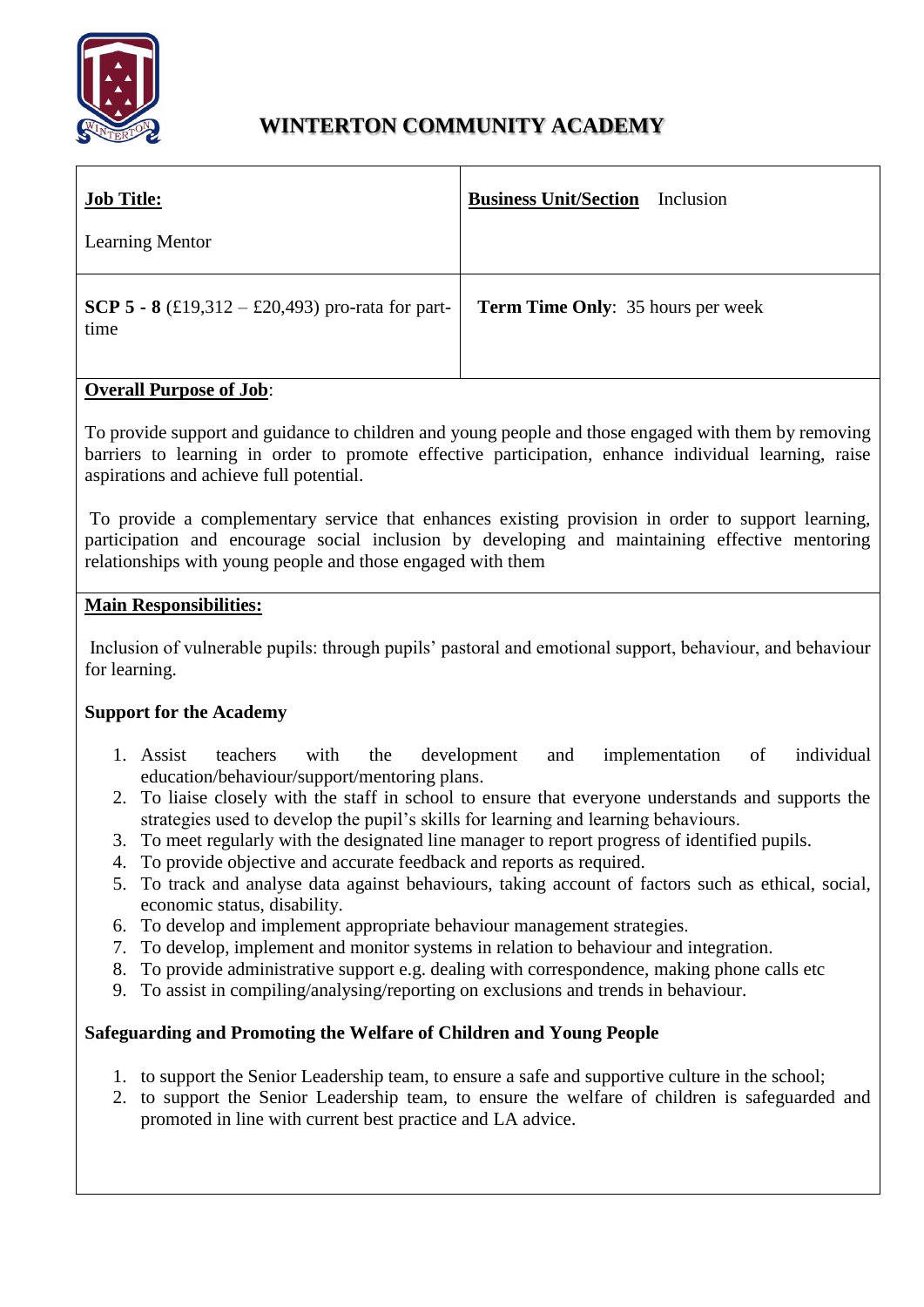

# **WINTERTON COMMUNITY ACADEMY**

| <b>Job Title:</b>                                               | <b>Business Unit/Section</b>             |
|-----------------------------------------------------------------|------------------------------------------|
| <b>Learning Mentor</b>                                          | Inclusion                                |
| <b>SCP 5 - 8</b> (£19,312 – £20,493) pro-rata for part-<br>time | <b>Term Time Only:</b> 35 hours per week |

## **Overall Purpose of Job**:

To provide support and guidance to children and young people and those engaged with them by removing barriers to learning in order to promote effective participation, enhance individual learning, raise aspirations and achieve full potential.

To provide a complementary service that enhances existing provision in order to support learning, participation and encourage social inclusion by developing and maintaining effective mentoring relationships with young people and those engaged with them

#### **Main Responsibilities:**

Inclusion of vulnerable pupils: through pupils' pastoral and emotional support, behaviour, and behaviour for learning.

## **Support for the Academy**

- 1. Assist teachers with the development and implementation of individual education/behaviour/support/mentoring plans.
- 2. To liaise closely with the staff in school to ensure that everyone understands and supports the strategies used to develop the pupil's skills for learning and learning behaviours.
- 3. To meet regularly with the designated line manager to report progress of identified pupils.
- 4. To provide objective and accurate feedback and reports as required.
- 5. To track and analyse data against behaviours, taking account of factors such as ethical, social, economic status, disability.
- 6. To develop and implement appropriate behaviour management strategies.
- 7. To develop, implement and monitor systems in relation to behaviour and integration.
- 8. To provide administrative support e.g. dealing with correspondence, making phone calls etc
- 9. To assist in compiling/analysing/reporting on exclusions and trends in behaviour.

## **Safeguarding and Promoting the Welfare of Children and Young People**

- 1. to support the Senior Leadership team, to ensure a safe and supportive culture in the school;
- 2. to support the Senior Leadership team, to ensure the welfare of children is safeguarded and promoted in line with current best practice and LA advice.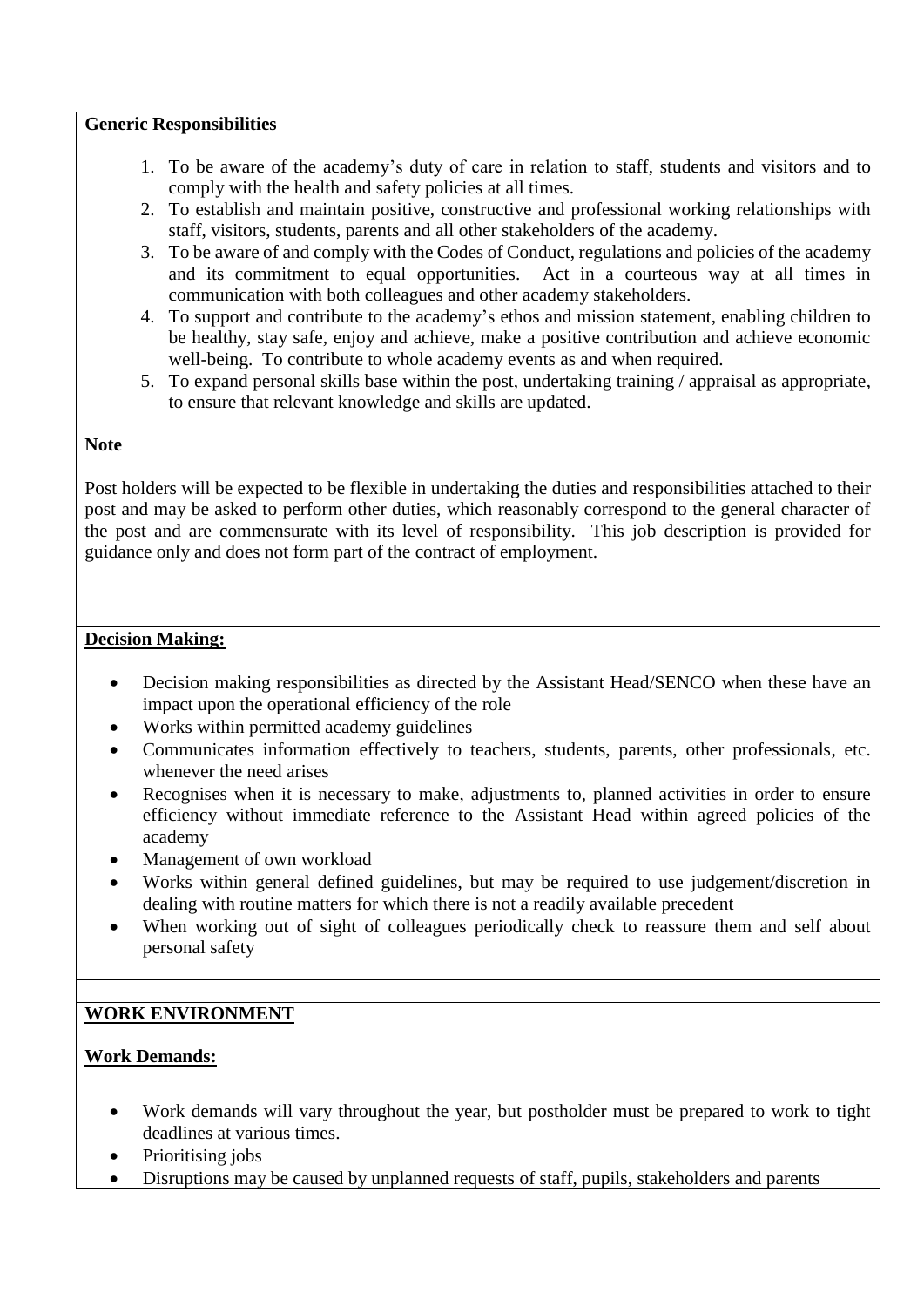#### **Generic Responsibilities**

- 1. To be aware of the academy's duty of care in relation to staff, students and visitors and to comply with the health and safety policies at all times.
- 2. To establish and maintain positive, constructive and professional working relationships with staff, visitors, students, parents and all other stakeholders of the academy.
- 3. To be aware of and comply with the Codes of Conduct, regulations and policies of the academy and its commitment to equal opportunities. Act in a courteous way at all times in communication with both colleagues and other academy stakeholders.
- 4. To support and contribute to the academy's ethos and mission statement, enabling children to be healthy, stay safe, enjoy and achieve, make a positive contribution and achieve economic well-being. To contribute to whole academy events as and when required.
- 5. To expand personal skills base within the post, undertaking training / appraisal as appropriate, to ensure that relevant knowledge and skills are updated.

#### **Note**

Post holders will be expected to be flexible in undertaking the duties and responsibilities attached to their post and may be asked to perform other duties, which reasonably correspond to the general character of the post and are commensurate with its level of responsibility. This job description is provided for guidance only and does not form part of the contract of employment.

## **Decision Making:**

- Decision making responsibilities as directed by the Assistant Head/SENCO when these have an impact upon the operational efficiency of the role
- Works within permitted academy guidelines
- Communicates information effectively to teachers, students, parents, other professionals, etc. whenever the need arises
- Recognises when it is necessary to make, adjustments to, planned activities in order to ensure efficiency without immediate reference to the Assistant Head within agreed policies of the academy
- Management of own workload
- Works within general defined guidelines, but may be required to use judgement/discretion in dealing with routine matters for which there is not a readily available precedent
- When working out of sight of colleagues periodically check to reassure them and self about personal safety

# **WORK ENVIRONMENT**

## **Work Demands:**

- Work demands will vary throughout the year, but postholder must be prepared to work to tight deadlines at various times.
- Prioritising jobs
- Disruptions may be caused by unplanned requests of staff, pupils, stakeholders and parents